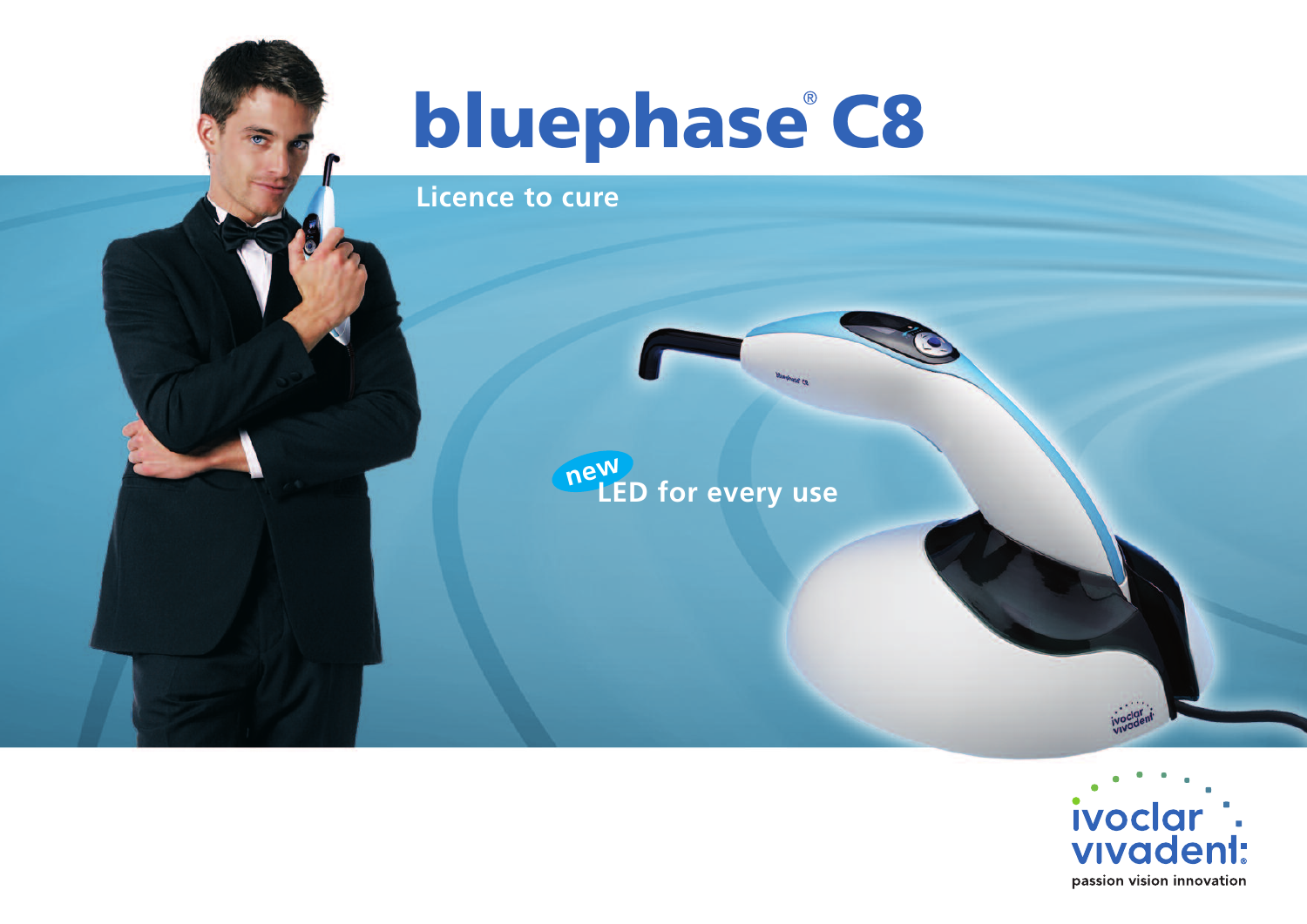# **bluephase C8**

**Licence to cure**



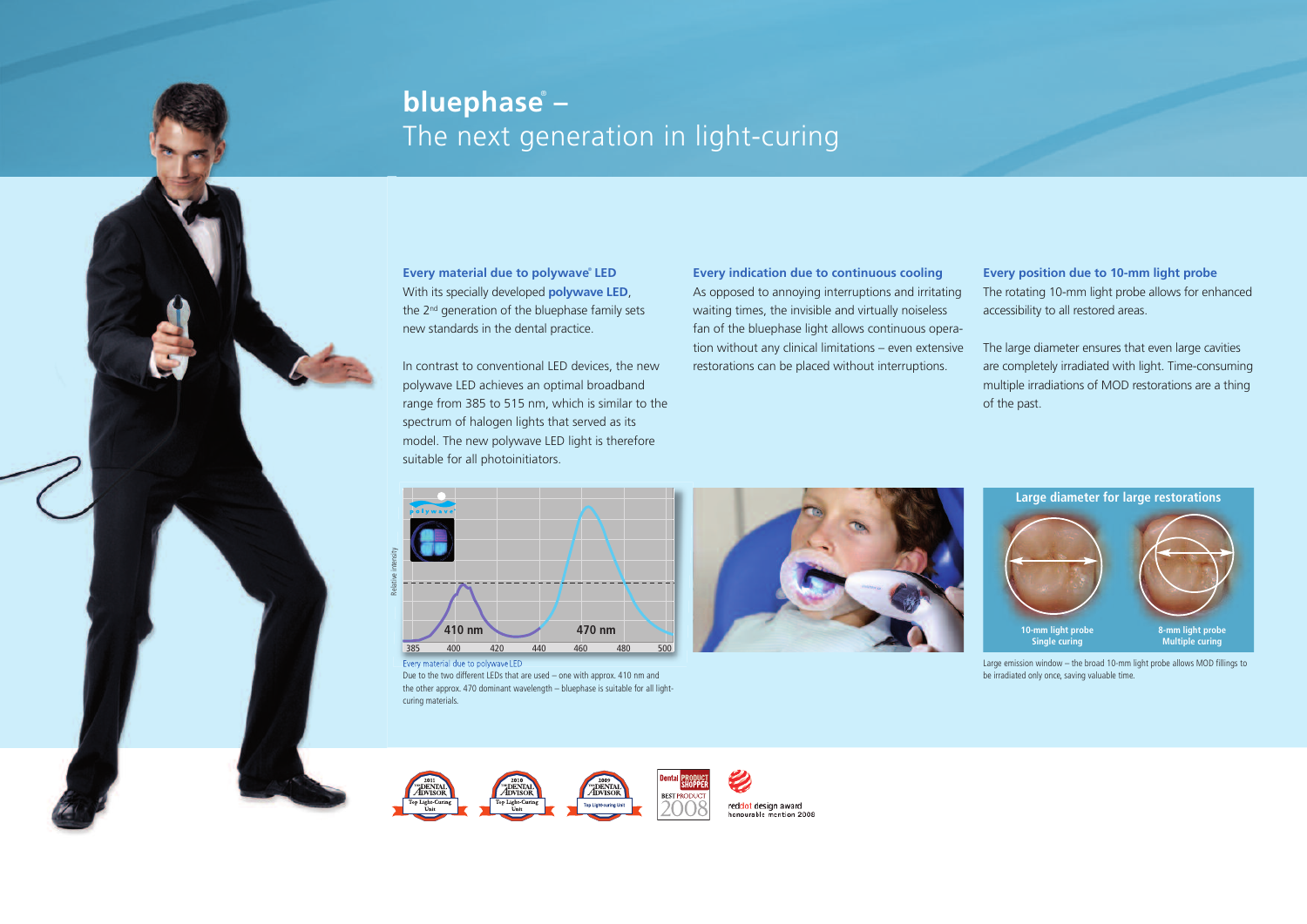# **bluephase** ® **–** The next generation in light-curing

**Every material due to polywave** ® **LED** With its specially developed **polywave LED**, the 2nd generation of the bluephase family sets new standards in the dental practice.

In contrast to conventional LED devices, the new polywave LED achieves an optimal broadband range from 385 to 515 nm, which is similar to the spectrum of halogen lights that served as its model. The new polywave LED light is therefore suitable for all photoinitiators.

**Every indication due to continuous cooling** As opposed to annoying interruptions and irritating waiting times, the invisible and virtually noiseless fan of the bluephase light allows continuous operation without any clinical limitations – even extensive restorations can be placed without interruptions.

**Every position due to 10-mm light probe** The rotating 10-mm light probe allows for enhanced accessibility to all restored areas.

The large diameter ensures that even large cavities are completely irradiated with light. Time-consuming multiple irradiations of MOD restorations are a thing of the past.



Every material due to polywave LED

Due to the two different LEDs that are used – one with approx. 410 nm and the other approx. 470 dominant wavelength – bluephase is suitable for all lightcuring materials.





Large emission window – the broad 10-mm light probe allows MOD fillings to be irradiated only once, saving valuable time.

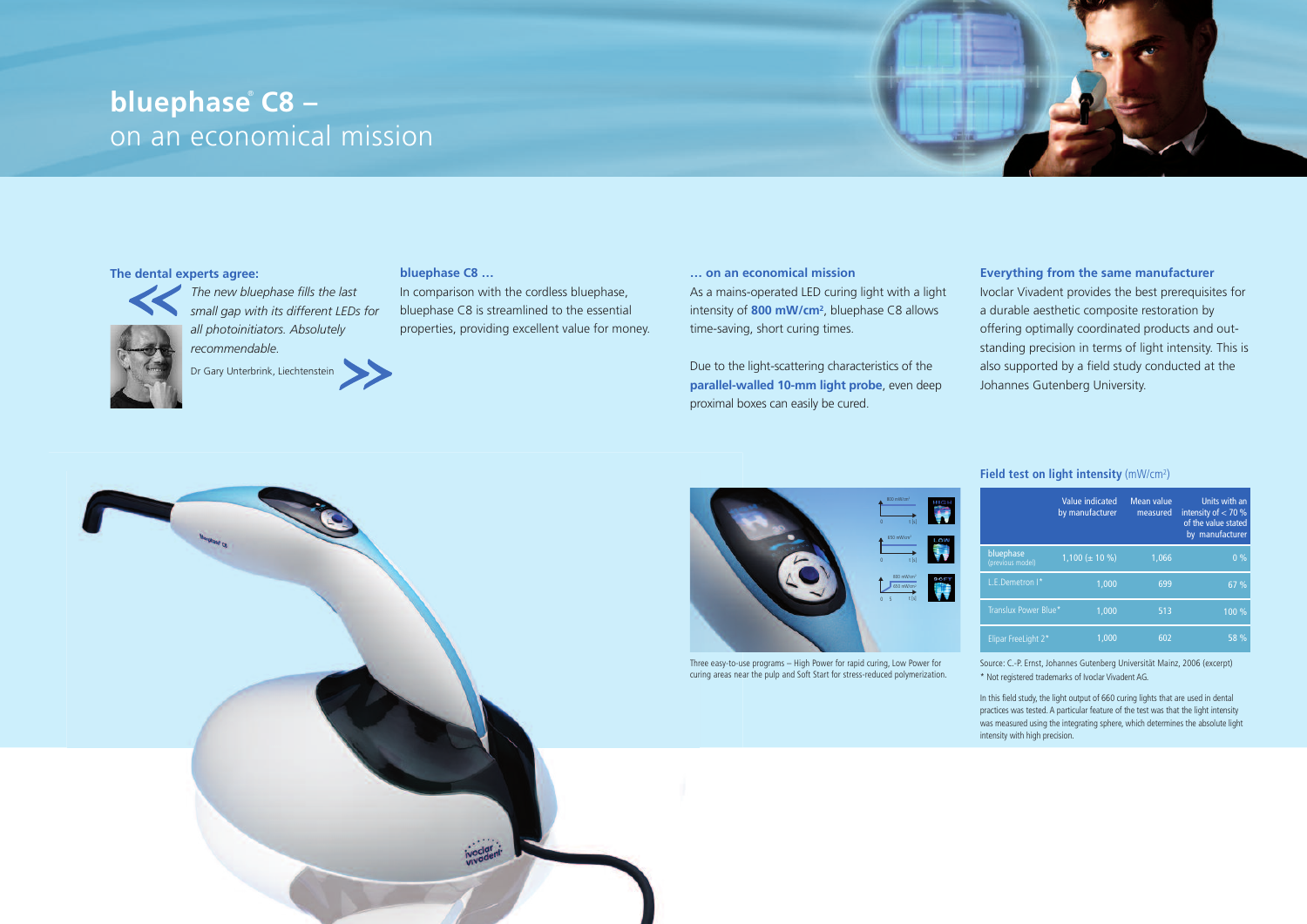# **bluephase** ® **C8 –** on an economical mission

## **The dental experts agree:**



*The new bluephase fills the last small gap with its different LEDs for all photoinitiators. Absolutely recommendable.*



#### **bluephase C8 …**

In comparison with the cordless bluephase, bluephase C8 is streamlined to the essential properties, providing excellent value for money.

### **… on an economical mission**

As a mains-operated LED curing light with a light intensity of **800 mW/cm2**, bluephase C8 allows time-saving, short curing times.

Due to the light-scattering characteristics of the **parallel-walled 10-mm light probe**, even deep proximal boxes can easily be cured.

# **Everything from the same manufacturer** Ivoclar Vivadent provides the best prerequisites for a durable aesthetic composite restoration by offering optimally coordinated products and outstanding precision in terms of light intensity. This is also supported by a field study conducted at the Johannes Gutenberg University.



#### 800 mW/cm2  $\ddot{\phantom{1}}$ ÷ s 0 t [s]  $\ddot{\phantom{1}}$ 650 mW/cm2 s 0 t [s] 800 mW/cm2 650 mW/cm2  $\blacktriangle$ s 0 5 t [s]

Three easy-to-use programs – High Power for rapid curing, Low Power for curing areas near the pulp and Soft Start for stress-reduced polymerization.

#### **Field test on light intensity** (mW/cm2 )

|                               | Value indicated<br>by manufacturer | Mean value<br>measured | Units with an<br>intensity of $<$ 70 %<br>of the value stated<br>by manufacturer |
|-------------------------------|------------------------------------|------------------------|----------------------------------------------------------------------------------|
| bluephase<br>(previous model) | $1,100 \ (\pm 10 \%)$              | 1.066                  | 0%                                                                               |
| L.E.Demetron I*               | 1.000                              | 699                    | 67 %                                                                             |
| Translux Power Blue*          | 1.000                              | 513                    | 100 %                                                                            |
| Elipar FreeLight 2*           | 1.000                              | 602                    | 58 %                                                                             |

Source: C.-P. Ernst, Johannes Gutenberg Universität Mainz, 2006 (excerpt) \* Not registered trademarks of Ivoclar Vivadent AG.

In this field study, the light output of 660 curing lights that are used in dental practices was tested.A particular feature of the test was that the light intensity was measured using the integrating sphere, which determines the absolute light intensity with high precision.